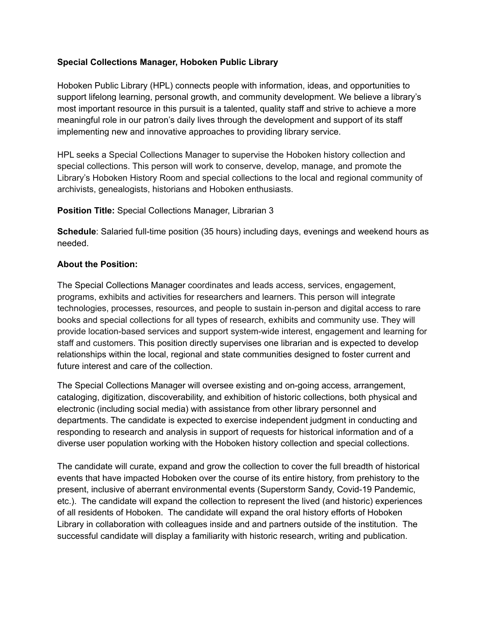### **Special Collections Manager, Hoboken Public Library**

Hoboken Public Library (HPL) connects people with information, ideas, and opportunities to support lifelong learning, personal growth, and community development. We believe a library's most important resource in this pursuit is a talented, quality staff and strive to achieve a more meaningful role in our patron's daily lives through the development and support of its staff implementing new and innovative approaches to providing library service.

HPL seeks a Special Collections Manager to supervise the Hoboken history collection and special collections. This person will work to conserve, develop, manage, and promote the Library's Hoboken History Room and special collections to the local and regional community of archivists, genealogists, historians and Hoboken enthusiasts.

#### **Position Title:** Special Collections Manager, Librarian 3

**Schedule**: Salaried full-time position (35 hours) including days, evenings and weekend hours as needed.

#### **About the Position:**

The Special Collections Manager coordinates and leads access, services, engagement, programs, exhibits and activities for researchers and learners. This person will integrate technologies, processes, resources, and people to sustain in-person and digital access to rare books and special collections for all types of research, exhibits and community use. They will provide location-based services and support system-wide interest, engagement and learning for staff and customers. This position directly supervises one librarian and is expected to develop relationships within the local, regional and state communities designed to foster current and future interest and care of the collection.

The Special Collections Manager will oversee existing and on-going access, arrangement, cataloging, digitization, discoverability, and exhibition of historic collections, both physical and electronic (including social media) with assistance from other library personnel and departments. The candidate is expected to exercise independent judgment in conducting and responding to research and analysis in support of requests for historical information and of a diverse user population working with the Hoboken history collection and special collections.

The candidate will curate, expand and grow the collection to cover the full breadth of historical events that have impacted Hoboken over the course of its entire history, from prehistory to the present, inclusive of aberrant environmental events (Superstorm Sandy, Covid-19 Pandemic, etc.). The candidate will expand the collection to represent the lived (and historic) experiences of all residents of Hoboken. The candidate will expand the oral history efforts of Hoboken Library in collaboration with colleagues inside and and partners outside of the institution. The successful candidate will display a familiarity with historic research, writing and publication.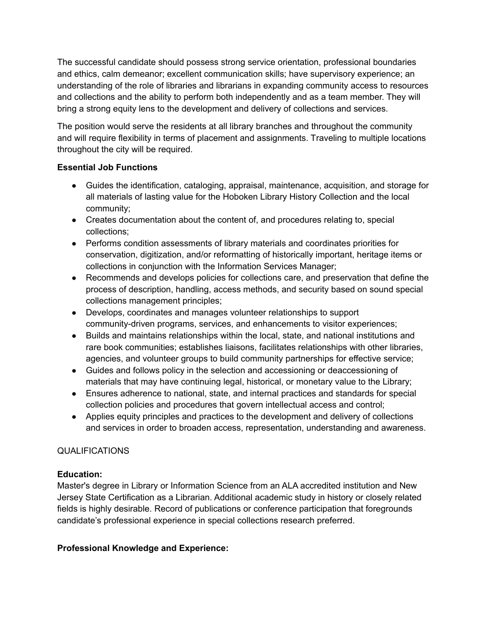The successful candidate should possess strong service orientation, professional boundaries and ethics, calm demeanor; excellent communication skills; have supervisory experience; an understanding of the role of libraries and librarians in expanding community access to resources and collections and the ability to perform both independently and as a team member. They will bring a strong equity lens to the development and delivery of collections and services.

The position would serve the residents at all library branches and throughout the community and will require flexibility in terms of placement and assignments. Traveling to multiple locations throughout the city will be required.

## **Essential Job Functions**

- Guides the identification, cataloging, appraisal, maintenance, acquisition, and storage for all materials of lasting value for the Hoboken Library History Collection and the local community;
- Creates documentation about the content of, and procedures relating to, special collections;
- Performs condition assessments of library materials and coordinates priorities for conservation, digitization, and/or reformatting of historically important, heritage items or collections in conjunction with the Information Services Manager;
- Recommends and develops policies for collections care, and preservation that define the process of description, handling, access methods, and security based on sound special collections management principles;
- Develops, coordinates and manages volunteer relationships to support community-driven programs, services, and enhancements to visitor experiences;
- Builds and maintains relationships within the local, state, and national institutions and rare book communities; establishes liaisons, facilitates relationships with other libraries, agencies, and volunteer groups to build community partnerships for effective service;
- Guides and follows policy in the selection and accessioning or deaccessioning of materials that may have continuing legal, historical, or monetary value to the Library;
- Ensures adherence to national, state, and internal practices and standards for special collection policies and procedures that govern intellectual access and control;
- Applies equity principles and practices to the development and delivery of collections and services in order to broaden access, representation, understanding and awareness.

# QUALIFICATIONS

# **Education:**

Master's degree in Library or Information Science from an ALA accredited institution and New Jersey State Certification as a Librarian. Additional academic study in history or closely related fields is highly desirable. Record of publications or conference participation that foregrounds candidate's professional experience in special collections research preferred.

# **Professional Knowledge and Experience:**